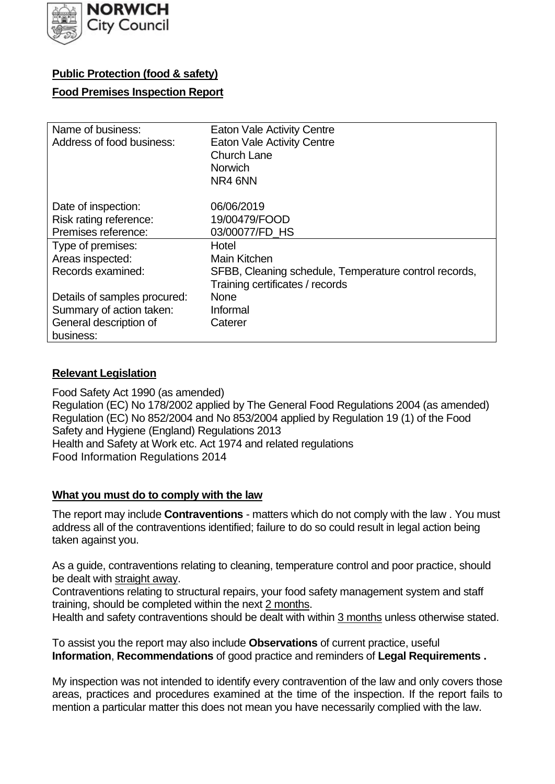

# **Public Protection (food & safety)**

### **Food Premises Inspection Report**

| Name of business:            | <b>Eaton Vale Activity Centre</b>                     |
|------------------------------|-------------------------------------------------------|
| Address of food business:    | <b>Eaton Vale Activity Centre</b>                     |
|                              | <b>Church Lane</b>                                    |
|                              | <b>Norwich</b>                                        |
|                              | NR4 6NN                                               |
| Date of inspection:          | 06/06/2019                                            |
| Risk rating reference:       | 19/00479/FOOD                                         |
| Premises reference:          | 03/00077/FD HS                                        |
| Type of premises:            | Hotel                                                 |
| Areas inspected:             | Main Kitchen                                          |
| Records examined:            | SFBB, Cleaning schedule, Temperature control records, |
|                              | Training certificates / records                       |
| Details of samples procured: | <b>None</b>                                           |
| Summary of action taken:     | Informal                                              |
| General description of       | Caterer                                               |
| business:                    |                                                       |

### **Relevant Legislation**

 Food Safety Act 1990 (as amended) Regulation (EC) No 178/2002 applied by The General Food Regulations 2004 (as amended) Regulation (EC) No 852/2004 and No 853/2004 applied by Regulation 19 (1) of the Food Safety and Hygiene (England) Regulations 2013 Health and Safety at Work etc. Act 1974 and related regulations Food Information Regulations 2014

### **What you must do to comply with the law**

 The report may include **Contraventions** - matters which do not comply with the law . You must address all of the contraventions identified; failure to do so could result in legal action being taken against you.

 As a guide, contraventions relating to cleaning, temperature control and poor practice, should be dealt with straight away.

 Contraventions relating to structural repairs, your food safety management system and staff training, should be completed within the next 2 months.

Health and safety contraventions should be dealt with within 3 months unless otherwise stated.

 To assist you the report may also include **Observations** of current practice, useful **Information**, **Recommendations** of good practice and reminders of **Legal Requirements .** 

 My inspection was not intended to identify every contravention of the law and only covers those areas, practices and procedures examined at the time of the inspection. If the report fails to mention a particular matter this does not mean you have necessarily complied with the law.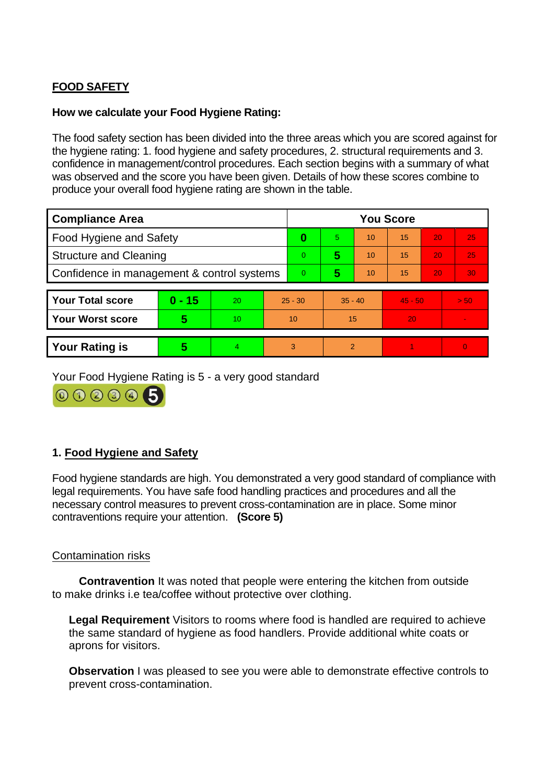# **FOOD SAFETY**

### **How we calculate your Food Hygiene Rating:**

 The food safety section has been divided into the three areas which you are scored against for the hygiene rating: 1. food hygiene and safety procedures, 2. structural requirements and 3. confidence in management/control procedures. Each section begins with a summary of what was observed and the score you have been given. Details of how these scores combine to produce your overall food hygiene rating are shown in the table.

| <b>Compliance Area</b>                     |          |    |                | <b>You Score</b> |                |    |           |    |          |  |  |
|--------------------------------------------|----------|----|----------------|------------------|----------------|----|-----------|----|----------|--|--|
| Food Hygiene and Safety                    |          |    | 0              | 5.               | 10             | 15 | 20        | 25 |          |  |  |
| <b>Structure and Cleaning</b>              |          |    | $\overline{0}$ | 5                | 10             | 15 | 20        | 25 |          |  |  |
| Confidence in management & control systems |          |    | $\Omega$       | 5                | 10             | 15 | 20        | 30 |          |  |  |
|                                            |          |    |                |                  |                |    |           |    |          |  |  |
| <b>Your Total score</b>                    | $0 - 15$ | 20 | $25 - 30$      |                  | $35 - 40$      |    | $45 - 50$ |    | $>$ 50   |  |  |
| <b>Your Worst score</b>                    | 5        | 10 | 10             |                  | 15             |    | 20        |    |          |  |  |
|                                            |          |    |                |                  |                |    |           |    |          |  |  |
| <b>Your Rating is</b>                      | 5        |    | 3              |                  | $\mathfrak{p}$ |    |           |    | $\Omega$ |  |  |

Your Food Hygiene Rating is 5 - a very good standard

00006

# **1. Food Hygiene and Safety**

 Food hygiene standards are high. You demonstrated a very good standard of compliance with legal requirements. You have safe food handling practices and procedures and all the necessary control measures to prevent cross-contamination are in place. Some minor contraventions require your attention. **(Score 5)** 

### Contamination risks

 to make drinks i.e tea/coffee without protective over clothing. **Contravention** It was noted that people were entering the kitchen from outside

**Legal Requirement** Visitors to rooms where food is handled are required to achieve the same standard of hygiene as food handlers. Provide additional white coats or aprons for visitors.

**Observation** I was pleased to see you were able to demonstrate effective controls to prevent cross-contamination.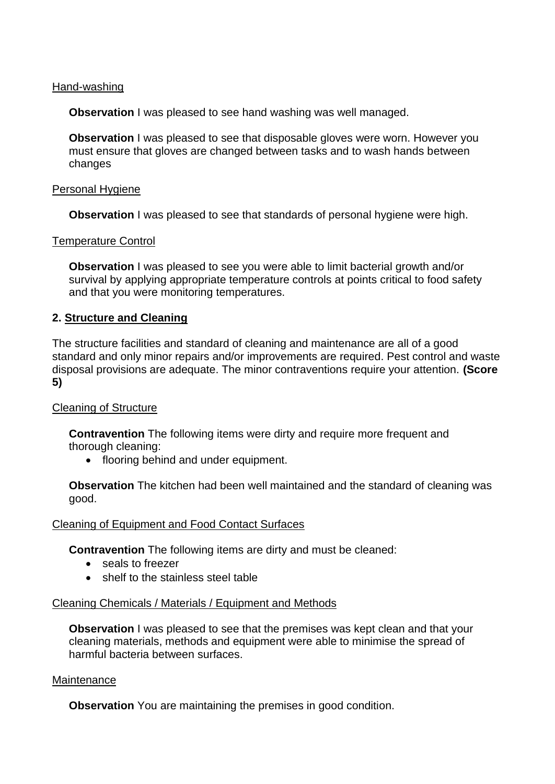### Hand-washing

**Observation** I was pleased to see hand washing was well managed.

**Observation** I was pleased to see that disposable gloves were worn. However you must ensure that gloves are changed between tasks and to wash hands between changes

#### Personal Hygiene

**Observation** I was pleased to see that standards of personal hygiene were high.

#### Temperature Control

**Observation** I was pleased to see you were able to limit bacterial growth and/or survival by applying appropriate temperature controls at points critical to food safety and that you were monitoring temperatures.

### **2. Structure and Cleaning**

 The structure facilities and standard of cleaning and maintenance are all of a good standard and only minor repairs and/or improvements are required. Pest control and waste disposal provisions are adequate. The minor contraventions require your attention. **(Score 5)** 

### Cleaning of Structure

**Contravention** The following items were dirty and require more frequent and thorough cleaning:

• flooring behind and under equipment.

 **Observation** The kitchen had been well maintained and the standard of cleaning was good.

#### Cleaning of Equipment and Food Contact Surfaces

**Contravention** The following items are dirty and must be cleaned:

- seals to freezer
- shelf to the stainless steel table

#### Cleaning Chemicals / Materials / Equipment and Methods

**Observation** I was pleased to see that the premises was kept clean and that your cleaning materials, methods and equipment were able to minimise the spread of harmful bacteria between surfaces.

#### **Maintenance**

**Observation** You are maintaining the premises in good condition.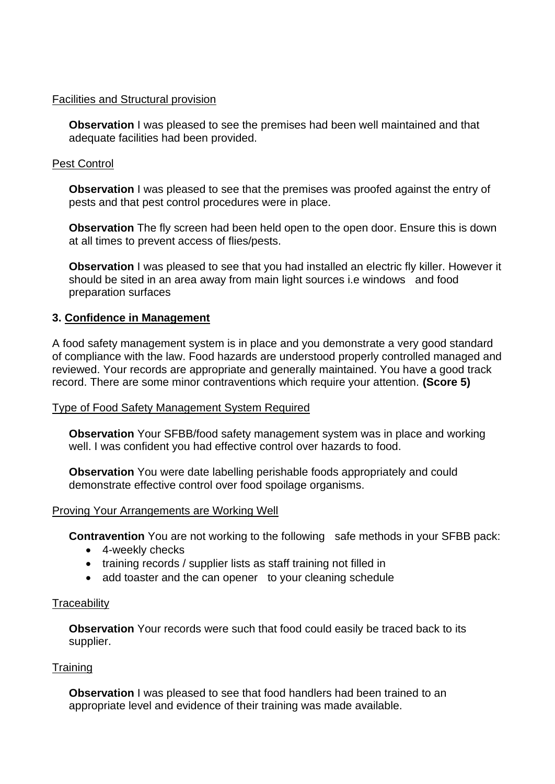#### Facilities and Structural provision

 **Observation** I was pleased to see the premises had been well maintained and that adequate facilities had been provided.

### Pest Control

**Observation** I was pleased to see that the premises was proofed against the entry of pests and that pest control procedures were in place.

 **Observation** The fly screen had been held open to the open door. Ensure this is down at all times to prevent access of flies/pests.

 **Observation** I was pleased to see that you had installed an electric fly killer. However it should be sited in an area away from main light sources i.e windows and food preparation surfaces

### **3. Confidence in Management**

 of compliance with the law. Food hazards are understood properly controlled managed and reviewed. Your records are appropriate and generally maintained. You have a good track A food safety management system is in place and you demonstrate a very good standard record. There are some minor contraventions which require your attention. **(Score 5)** 

### Type of Food Safety Management System Required

**Observation** Your SFBB/food safety management system was in place and working well. I was confident you had effective control over hazards to food.

 demonstrate effective control over food spoilage organisms. **Observation** You were date labelling perishable foods appropriately and could

### Proving Your Arrangements are Working Well

**Contravention** You are not working to the following safe methods in your SFBB pack:

- 4-weekly checks
- training records / supplier lists as staff training not filled in
- add toaster and the can opener to your cleaning schedule

### **Traceability**

**Observation** Your records were such that food could easily be traced back to its supplier.

# **Training**

**Observation** I was pleased to see that food handlers had been trained to an appropriate level and evidence of their training was made available.